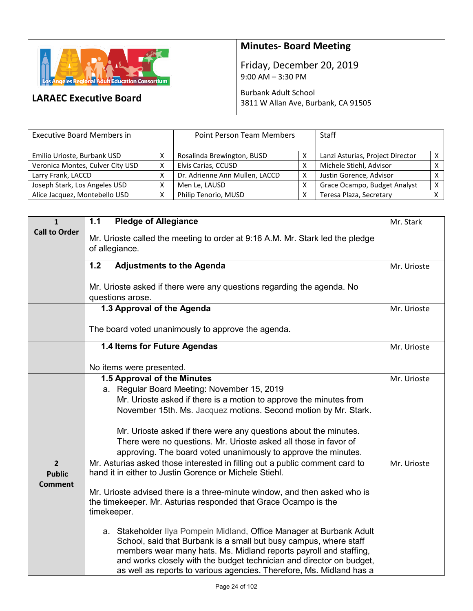

**LARAEC Executive Board**

## **Minutes- Board Meeting**

Friday, December 20, 2019 9:00 AM – 3:30 PM

Burbank Adult School 3811 W Allan Ave, Burbank, CA 91505

| <b>Executive Board Members in</b> |   | Point Person Team Members      |  | <b>Staff</b>                     |                |
|-----------------------------------|---|--------------------------------|--|----------------------------------|----------------|
| Emilio Urioste, Burbank USD       |   | Rosalinda Brewington, BUSD     |  | Lanzi Asturias, Project Director | $\times$ 1     |
| Veronica Montes, Culver City USD  | х | Elvis Carias, CCUSD            |  | Michele Stiehl, Advisor          |                |
| Larry Frank, LACCD                |   | Dr. Adrienne Ann Mullen, LACCD |  | Justin Gorence, Advisor          |                |
| Joseph Stark, Los Angeles USD     | Χ | Men Le, LAUSD                  |  | Grace Ocampo, Budget Analyst     | X <sub>1</sub> |
| Alice Jacquez, Montebello USD     | Χ | Philip Tenorio, MUSD           |  | Teresa Plaza, Secretary          |                |

| $\mathbf{1}$                                      | 1.1<br><b>Pledge of Allegiance</b>                                                                                                                                                                                                                                                                                                                             | Mr. Stark   |
|---------------------------------------------------|----------------------------------------------------------------------------------------------------------------------------------------------------------------------------------------------------------------------------------------------------------------------------------------------------------------------------------------------------------------|-------------|
| <b>Call to Order</b>                              | Mr. Urioste called the meeting to order at 9:16 A.M. Mr. Stark led the pledge<br>of allegiance.                                                                                                                                                                                                                                                                |             |
|                                                   | 1.2<br><b>Adjustments to the Agenda</b>                                                                                                                                                                                                                                                                                                                        | Mr. Urioste |
|                                                   | Mr. Urioste asked if there were any questions regarding the agenda. No<br>questions arose.                                                                                                                                                                                                                                                                     |             |
|                                                   | 1.3 Approval of the Agenda                                                                                                                                                                                                                                                                                                                                     | Mr. Urioste |
|                                                   | The board voted unanimously to approve the agenda.                                                                                                                                                                                                                                                                                                             |             |
|                                                   | 1.4 Items for Future Agendas                                                                                                                                                                                                                                                                                                                                   | Mr. Urioste |
|                                                   | No items were presented.                                                                                                                                                                                                                                                                                                                                       |             |
|                                                   | 1.5 Approval of the Minutes                                                                                                                                                                                                                                                                                                                                    | Mr. Urioste |
|                                                   | a. Regular Board Meeting: November 15, 2019<br>Mr. Urioste asked if there is a motion to approve the minutes from<br>November 15th. Ms. Jacquez motions. Second motion by Mr. Stark.                                                                                                                                                                           |             |
|                                                   | Mr. Urioste asked if there were any questions about the minutes.<br>There were no questions. Mr. Urioste asked all those in favor of<br>approving. The board voted unanimously to approve the minutes.                                                                                                                                                         |             |
| $\overline{2}$<br><b>Public</b><br><b>Comment</b> | Mr. Asturias asked those interested in filling out a public comment card to<br>hand it in either to Justin Gorence or Michele Stiehl.                                                                                                                                                                                                                          | Mr. Urioste |
|                                                   | Mr. Urioste advised there is a three-minute window, and then asked who is<br>the timekeeper. Mr. Asturias responded that Grace Ocampo is the<br>timekeeper.                                                                                                                                                                                                    |             |
|                                                   | a. Stakeholder Ilya Pompein Midland, Office Manager at Burbank Adult<br>School, said that Burbank is a small but busy campus, where staff<br>members wear many hats. Ms. Midland reports payroll and staffing,<br>and works closely with the budget technician and director on budget,<br>as well as reports to various agencies. Therefore, Ms. Midland has a |             |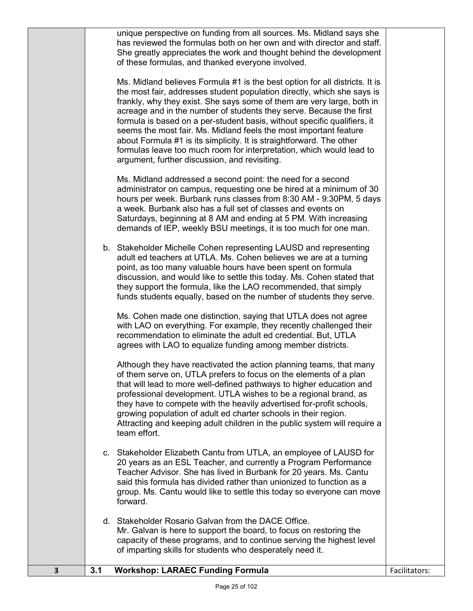|   |     | unique perspective on funding from all sources. Ms. Midland says she<br>has reviewed the formulas both on her own and with director and staff.<br>She greatly appreciates the work and thought behind the development<br>of these formulas, and thanked everyone involved.                                                                                                                                                                                                                                                                                                                                                                                |               |
|---|-----|-----------------------------------------------------------------------------------------------------------------------------------------------------------------------------------------------------------------------------------------------------------------------------------------------------------------------------------------------------------------------------------------------------------------------------------------------------------------------------------------------------------------------------------------------------------------------------------------------------------------------------------------------------------|---------------|
|   |     | Ms. Midland believes Formula #1 is the best option for all districts. It is<br>the most fair, addresses student population directly, which she says is<br>frankly, why they exist. She says some of them are very large, both in<br>acreage and in the number of students they serve. Because the first<br>formula is based on a per-student basis, without specific qualifiers, it<br>seems the most fair. Ms. Midland feels the most important feature<br>about Formula #1 is its simplicity. It is straightforward. The other<br>formulas leave too much room for interpretation, which would lead to<br>argument, further discussion, and revisiting. |               |
|   |     | Ms. Midland addressed a second point: the need for a second<br>administrator on campus, requesting one be hired at a minimum of 30<br>hours per week. Burbank runs classes from 8:30 AM - 9:30PM, 5 days<br>a week. Burbank also has a full set of classes and events on<br>Saturdays, beginning at 8 AM and ending at 5 PM. With increasing<br>demands of IEP, weekly BSU meetings, it is too much for one man.                                                                                                                                                                                                                                          |               |
|   |     | b. Stakeholder Michelle Cohen representing LAUSD and representing<br>adult ed teachers at UTLA. Ms. Cohen believes we are at a turning<br>point, as too many valuable hours have been spent on formula<br>discussion, and would like to settle this today. Ms. Cohen stated that<br>they support the formula, like the LAO recommended, that simply<br>funds students equally, based on the number of students they serve.                                                                                                                                                                                                                                |               |
|   |     | Ms. Cohen made one distinction, saying that UTLA does not agree<br>with LAO on everything. For example, they recently challenged their<br>recommendation to eliminate the adult ed credential. But, UTLA<br>agrees with LAO to equalize funding among member districts.                                                                                                                                                                                                                                                                                                                                                                                   |               |
|   |     | Although they have reactivated the action planning teams, that many<br>of them serve on, UTLA prefers to focus on the elements of a plan<br>that will lead to more well-defined pathways to higher education and<br>professional development. UTLA wishes to be a regional brand, as<br>they have to compete with the heavily advertised for-profit schools,<br>growing population of adult ed charter schools in their region.<br>Attracting and keeping adult children in the public system will require a<br>team effort.                                                                                                                              |               |
|   |     | c. Stakeholder Elizabeth Cantu from UTLA, an employee of LAUSD for<br>20 years as an ESL Teacher, and currently a Program Performance<br>Teacher Advisor. She has lived in Burbank for 20 years. Ms. Cantu<br>said this formula has divided rather than unionized to function as a<br>group. Ms. Cantu would like to settle this today so everyone can move<br>forward.                                                                                                                                                                                                                                                                                   |               |
|   |     | d. Stakeholder Rosario Galvan from the DACE Office.<br>Mr. Galvan is here to support the board, to focus on restoring the<br>capacity of these programs, and to continue serving the highest level<br>of imparting skills for students who desperately need it.                                                                                                                                                                                                                                                                                                                                                                                           |               |
| 3 | 3.1 | <b>Workshop: LARAEC Funding Formula</b>                                                                                                                                                                                                                                                                                                                                                                                                                                                                                                                                                                                                                   | Facilitators: |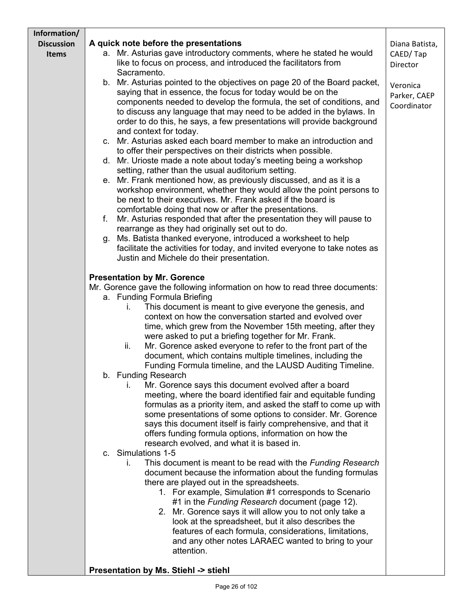| Information/      |                                                                                                                                       |                |
|-------------------|---------------------------------------------------------------------------------------------------------------------------------------|----------------|
| <b>Discussion</b> | A quick note before the presentations                                                                                                 | Diana Batista, |
| <b>Items</b>      | a. Mr. Asturias gave introductory comments, where he stated he would                                                                  | CAED/Tap       |
|                   | like to focus on process, and introduced the facilitators from<br>Sacramento.                                                         | Director       |
|                   | b. Mr. Asturias pointed to the objectives on page 20 of the Board packet,                                                             | Veronica       |
|                   | saying that in essence, the focus for today would be on the                                                                           | Parker, CAEP   |
|                   | components needed to develop the formula, the set of conditions, and                                                                  | Coordinator    |
|                   | to discuss any language that may need to be added in the bylaws. In                                                                   |                |
|                   | order to do this, he says, a few presentations will provide background                                                                |                |
|                   | and context for today.                                                                                                                |                |
|                   | Mr. Asturias asked each board member to make an introduction and<br>C.                                                                |                |
|                   | to offer their perspectives on their districts when possible.                                                                         |                |
|                   | d. Mr. Urioste made a note about today's meeting being a workshop                                                                     |                |
|                   | setting, rather than the usual auditorium setting.                                                                                    |                |
|                   | e. Mr. Frank mentioned how, as previously discussed, and as it is a                                                                   |                |
|                   | workshop environment, whether they would allow the point persons to                                                                   |                |
|                   | be next to their executives. Mr. Frank asked if the board is                                                                          |                |
|                   | comfortable doing that now or after the presentations.<br>Mr. Asturias responded that after the presentation they will pause to<br>f. |                |
|                   | rearrange as they had originally set out to do.                                                                                       |                |
|                   | Ms. Batista thanked everyone, introduced a worksheet to help<br>g.                                                                    |                |
|                   | facilitate the activities for today, and invited everyone to take notes as                                                            |                |
|                   | Justin and Michele do their presentation.                                                                                             |                |
|                   |                                                                                                                                       |                |
|                   | <b>Presentation by Mr. Gorence</b>                                                                                                    |                |
|                   | Mr. Gorence gave the following information on how to read three documents:                                                            |                |
|                   | a. Funding Formula Briefing                                                                                                           |                |
|                   | This document is meant to give everyone the genesis, and<br>ı.                                                                        |                |
|                   | context on how the conversation started and evolved over                                                                              |                |
|                   | time, which grew from the November 15th meeting, after they                                                                           |                |
|                   | were asked to put a briefing together for Mr. Frank.                                                                                  |                |
|                   | ii.<br>Mr. Gorence asked everyone to refer to the front part of the                                                                   |                |
|                   | document, which contains multiple timelines, including the                                                                            |                |
|                   | Funding Formula timeline, and the LAUSD Auditing Timeline.<br>b. Funding Research                                                     |                |
|                   | Mr. Gorence says this document evolved after a board<br>L.                                                                            |                |
|                   | meeting, where the board identified fair and equitable funding                                                                        |                |
|                   | formulas as a priority item, and asked the staff to come up with                                                                      |                |
|                   | some presentations of some options to consider. Mr. Gorence                                                                           |                |
|                   | says this document itself is fairly comprehensive, and that it                                                                        |                |
|                   | offers funding formula options, information on how the                                                                                |                |
|                   | research evolved, and what it is based in.                                                                                            |                |
|                   | c. Simulations 1-5                                                                                                                    |                |
|                   | This document is meant to be read with the Funding Research<br>L.                                                                     |                |
|                   | document because the information about the funding formulas                                                                           |                |
|                   | there are played out in the spreadsheets.                                                                                             |                |
|                   | 1. For example, Simulation #1 corresponds to Scenario<br>#1 in the Funding Research document (page 12).                               |                |
|                   | 2. Mr. Gorence says it will allow you to not only take a                                                                              |                |
|                   | look at the spreadsheet, but it also describes the                                                                                    |                |
|                   | features of each formula, considerations, limitations,                                                                                |                |
|                   | and any other notes LARAEC wanted to bring to your                                                                                    |                |
|                   | attention.                                                                                                                            |                |
|                   |                                                                                                                                       |                |
|                   | Presentation by Ms. Stiehl -> stiehl                                                                                                  |                |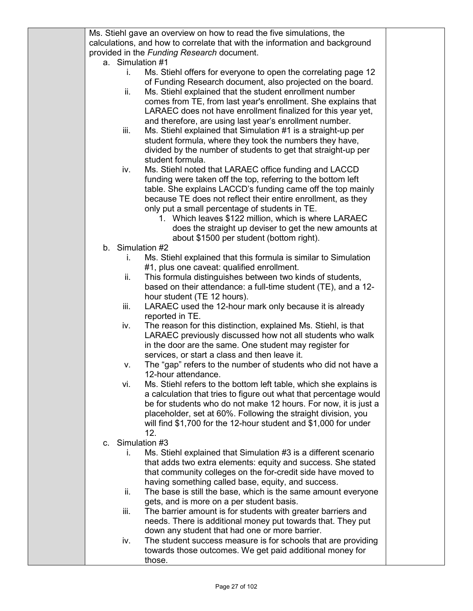| Ms. Stiehl gave an overview on how to read the five simulations, the                                                             |  |
|----------------------------------------------------------------------------------------------------------------------------------|--|
| calculations, and how to correlate that with the information and background                                                      |  |
| provided in the Funding Research document.                                                                                       |  |
| a. Simulation #1                                                                                                                 |  |
| Ms. Stiehl offers for everyone to open the correlating page 12<br>i.                                                             |  |
| of Funding Research document, also projected on the board.                                                                       |  |
| Ms. Stiehl explained that the student enrollment number<br>ii.                                                                   |  |
| comes from TE, from last year's enrollment. She explains that                                                                    |  |
| LARAEC does not have enrollment finalized for this year yet,                                                                     |  |
| and therefore, are using last year's enrollment number.                                                                          |  |
| Ms. Stiehl explained that Simulation #1 is a straight-up per<br>iii.                                                             |  |
| student formula, where they took the numbers they have,                                                                          |  |
| divided by the number of students to get that straight-up per                                                                    |  |
| student formula.                                                                                                                 |  |
| Ms. Stiehl noted that LARAEC office funding and LACCD<br>iv.                                                                     |  |
| funding were taken off the top, referring to the bottom left                                                                     |  |
| table. She explains LACCD's funding came off the top mainly                                                                      |  |
| because TE does not reflect their entire enrollment, as they                                                                     |  |
| only put a small percentage of students in TE.                                                                                   |  |
| 1. Which leaves \$122 million, which is where LARAEC                                                                             |  |
| does the straight up deviser to get the new amounts at                                                                           |  |
| about \$1500 per student (bottom right).                                                                                         |  |
| b. Simulation #2                                                                                                                 |  |
| Ms. Stiehl explained that this formula is similar to Simulation<br>L.                                                            |  |
| #1, plus one caveat: qualified enrollment.                                                                                       |  |
| This formula distinguishes between two kinds of students,<br>ii.                                                                 |  |
| based on their attendance: a full-time student (TE), and a 12-                                                                   |  |
| hour student (TE 12 hours).                                                                                                      |  |
| LARAEC used the 12-hour mark only because it is already<br>iii.                                                                  |  |
| reported in TE.                                                                                                                  |  |
| The reason for this distinction, explained Ms. Stiehl, is that<br>iv.                                                            |  |
| LARAEC previously discussed how not all students who walk                                                                        |  |
| in the door are the same. One student may register for                                                                           |  |
| services, or start a class and then leave it.                                                                                    |  |
| The "gap" refers to the number of students who did not have a<br>۷.                                                              |  |
| 12-hour attendance.                                                                                                              |  |
| Ms. Stiehl refers to the bottom left table, which she explains is<br>vi.                                                         |  |
| a calculation that tries to figure out what that percentage would                                                                |  |
| be for students who do not make 12 hours. For now, it is just a<br>placeholder, set at 60%. Following the straight division, you |  |
| will find \$1,700 for the 12-hour student and \$1,000 for under                                                                  |  |
| 12.                                                                                                                              |  |
| Simulation #3<br>C.                                                                                                              |  |
| Ms. Stiehl explained that Simulation #3 is a different scenario<br>i.                                                            |  |
| that adds two extra elements: equity and success. She stated                                                                     |  |
| that community colleges on the for-credit side have moved to                                                                     |  |
| having something called base, equity, and success.                                                                               |  |
| ii.<br>The base is still the base, which is the same amount everyone                                                             |  |
| gets, and is more on a per student basis.                                                                                        |  |
| The barrier amount is for students with greater barriers and<br>iii.                                                             |  |
| needs. There is additional money put towards that. They put                                                                      |  |
| down any student that had one or more barrier.                                                                                   |  |
| The student success measure is for schools that are providing<br>iv.                                                             |  |
| towards those outcomes. We get paid additional money for                                                                         |  |
| those.                                                                                                                           |  |
|                                                                                                                                  |  |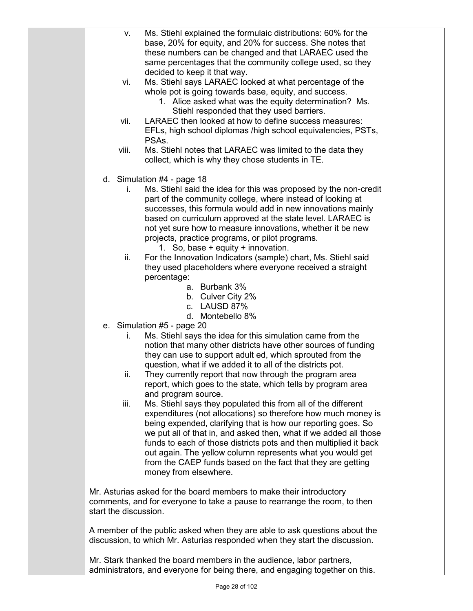| V.                    | Ms. Stiehl explained the formulaic distributions: 60% for the<br>base, 20% for equity, and 20% for success. She notes that         |  |
|-----------------------|------------------------------------------------------------------------------------------------------------------------------------|--|
|                       | these numbers can be changed and that LARAEC used the                                                                              |  |
|                       | same percentages that the community college used, so they<br>decided to keep it that way.                                          |  |
| vi.                   | Ms. Stiehl says LARAEC looked at what percentage of the                                                                            |  |
|                       | whole pot is going towards base, equity, and success.<br>1. Alice asked what was the equity determination? Ms.                     |  |
|                       | Stiehl responded that they used barriers.                                                                                          |  |
| vii.                  | LARAEC then looked at how to define success measures:                                                                              |  |
|                       | EFLs, high school diplomas /high school equivalencies, PSTs,<br>PSAs.                                                              |  |
| viii.                 | Ms. Stiehl notes that LARAEC was limited to the data they                                                                          |  |
|                       | collect, which is why they chose students in TE.                                                                                   |  |
|                       | d. Simulation $#4$ - page 18                                                                                                       |  |
| i.                    | Ms. Stiehl said the idea for this was proposed by the non-credit<br>part of the community college, where instead of looking at     |  |
|                       | successes, this formula would add in new innovations mainly                                                                        |  |
|                       | based on curriculum approved at the state level. LARAEC is                                                                         |  |
|                       | not yet sure how to measure innovations, whether it be new<br>projects, practice programs, or pilot programs.                      |  |
|                       | 1. So, base $+$ equity $+$ innovation.                                                                                             |  |
| ii.                   | For the Innovation Indicators (sample) chart, Ms. Stiehl said<br>they used placeholders where everyone received a straight         |  |
|                       | percentage:                                                                                                                        |  |
|                       | a. Burbank 3%<br>b. Culver City 2%                                                                                                 |  |
|                       | c. LAUSD 87%                                                                                                                       |  |
|                       | d. Montebello 8%                                                                                                                   |  |
| İ.                    | e. Simulation #5 - page 20<br>Ms. Stiehl says the idea for this simulation came from the                                           |  |
|                       | notion that many other districts have other sources of funding                                                                     |  |
|                       | they can use to support adult ed, which sprouted from the<br>question, what if we added it to all of the districts pot.            |  |
| II.                   | They currently report that now through the program area                                                                            |  |
|                       | report, which goes to the state, which tells by program area<br>and program source.                                                |  |
| iii.                  | Ms. Stiehl says they populated this from all of the different                                                                      |  |
|                       | expenditures (not allocations) so therefore how much money is                                                                      |  |
|                       | being expended, clarifying that is how our reporting goes. So<br>we put all of that in, and asked then, what if we added all those |  |
|                       | funds to each of those districts pots and then multiplied it back                                                                  |  |
|                       | out again. The yellow column represents what you would get<br>from the CAEP funds based on the fact that they are getting          |  |
|                       | money from elsewhere.                                                                                                              |  |
|                       | Mr. Asturias asked for the board members to make their introductory                                                                |  |
|                       | comments, and for everyone to take a pause to rearrange the room, to then                                                          |  |
| start the discussion. |                                                                                                                                    |  |
|                       | A member of the public asked when they are able to ask questions about the                                                         |  |
|                       | discussion, to which Mr. Asturias responded when they start the discussion.                                                        |  |
|                       | Mr. Stark thanked the board members in the audience, labor partners,                                                               |  |
|                       | administrators, and everyone for being there, and engaging together on this.                                                       |  |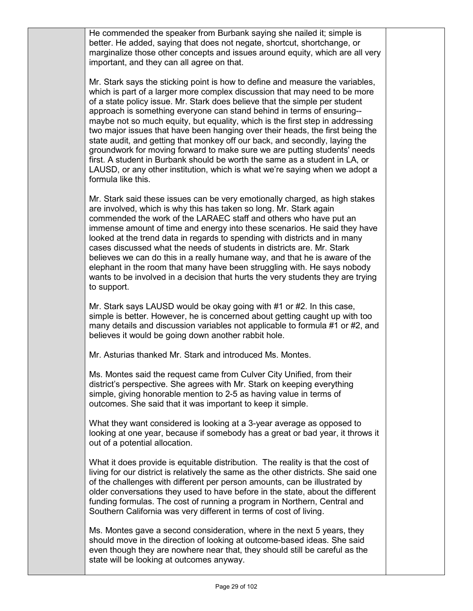He commended the speaker from Burbank saying she nailed it; simple is better. He added, saying that does not negate, shortcut, shortchange, or marginalize those other concepts and issues around equity, which are all very important, and they can all agree on that.

Mr. Stark says the sticking point is how to define and measure the variables, which is part of a larger more complex discussion that may need to be more of a state policy issue. Mr. Stark does believe that the simple per student approach is something everyone can stand behind in terms of ensuring- maybe not so much equity, but equality, which is the first step in addressing two major issues that have been hanging over their heads, the first being the state audit, and getting that monkey off our back, and secondly, laying the groundwork for moving forward to make sure we are putting students' needs first. A student in Burbank should be worth the same as a student in LA, or LAUSD, or any other institution, which is what we're saying when we adopt a formula like this.

Mr. Stark said these issues can be very emotionally charged, as high stakes are involved, which is why this has taken so long. Mr. Stark again commended the work of the LARAEC staff and others who have put an immense amount of time and energy into these scenarios. He said they have looked at the trend data in regards to spending with districts and in many cases discussed what the needs of students in districts are. Mr. Stark believes we can do this in a really humane way, and that he is aware of the elephant in the room that many have been struggling with. He says nobody wants to be involved in a decision that hurts the very students they are trying to support.

Mr. Stark says LAUSD would be okay going with #1 or #2. In this case, simple is better. However, he is concerned about getting caught up with too many details and discussion variables not applicable to formula #1 or #2, and believes it would be going down another rabbit hole.

Mr. Asturias thanked Mr. Stark and introduced Ms. Montes.

Ms. Montes said the request came from Culver City Unified, from their district's perspective. She agrees with Mr. Stark on keeping everything simple, giving honorable mention to 2-5 as having value in terms of outcomes. She said that it was important to keep it simple.

What they want considered is looking at a 3-year average as opposed to looking at one year, because if somebody has a great or bad year, it throws it out of a potential allocation.

What it does provide is equitable distribution. The reality is that the cost of living for our district is relatively the same as the other districts. She said one of the challenges with different per person amounts, can be illustrated by older conversations they used to have before in the state, about the different funding formulas. The cost of running a program in Northern, Central and Southern California was very different in terms of cost of living.

Ms. Montes gave a second consideration, where in the next 5 years, they should move in the direction of looking at outcome-based ideas. She said even though they are nowhere near that, they should still be careful as the state will be looking at outcomes anyway.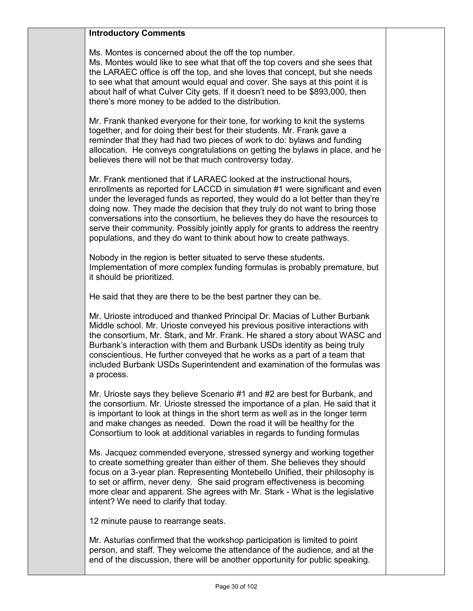## **Introductory Comments**

Ms. Montes is concerned about the off the top number.

Ms. Montes would like to see what that off the top covers and she sees that the LARAEC office is off the top, and she loves that concept, but she needs to see what that amount would equal and cover. She says at this point it is about half of what Culver City gets. If it doesn't need to be \$893,000, then there's more money to be added to the distribution.

Mr. Frank thanked everyone for their tone, for working to knit the systems together, and for doing their best for their students. Mr. Frank gave a reminder that they had had two pieces of work to do: bylaws and funding allocation. He conveys congratulations on getting the bylaws in place, and he believes there will not be that much controversy today.

Mr. Frank mentioned that if LARAEC looked at the instructional hours, enrollments as reported for LACCD in simulation #1 were significant and even under the leveraged funds as reported, they would do a lot better than they're doing now. They made the decision that they truly do not want to bring those conversations into the consortium, he believes they do have the resources to serve their community. Possibly jointly apply for grants to address the reentry populations, and they do want to think about how to create pathways.

Nobody in the region is better situated to serve these students. Implementation of more complex funding formulas is probably premature, but it should be prioritized.

He said that they are there to be the best partner they can be.

Mr. Urioste introduced and thanked Principal Dr. Macias of Luther Burbank Middle school. Mr. Urioste conveyed his previous positive interactions with the consortium, Mr. Stark, and Mr. Frank. He shared a story about WASC and Burbank's interaction with them and Burbank USDs identity as being truly conscientious. He further conveyed that he works as a part of a team that included Burbank USDs Superintendent and examination of the formulas was a process.

Mr. Urioste says they believe Scenario #1 and #2 are best for Burbank, and the consortium. Mr. Urioste stressed the importance of a plan. He said that it is important to look at things in the short term as well as in the longer term and make changes as needed. Down the road it will be healthy for the Consortium to look at additional variables in regards to funding formulas

Ms. Jacquez commended everyone, stressed synergy and working together to create something greater than either of them. She believes they should focus on a 3-year plan. Representing Montebello Unified, their philosophy is to set or affirm, never deny. She said program effectiveness is becoming more clear and apparent. She agrees with Mr. Stark - What is the legislative intent? We need to clarify that today.

12 minute pause to rearrange seats.

Mr. Asturias confirmed that the workshop participation is limited to point person, and staff. They welcome the attendance of the audience, and at the end of the discussion, there will be another opportunity for public speaking.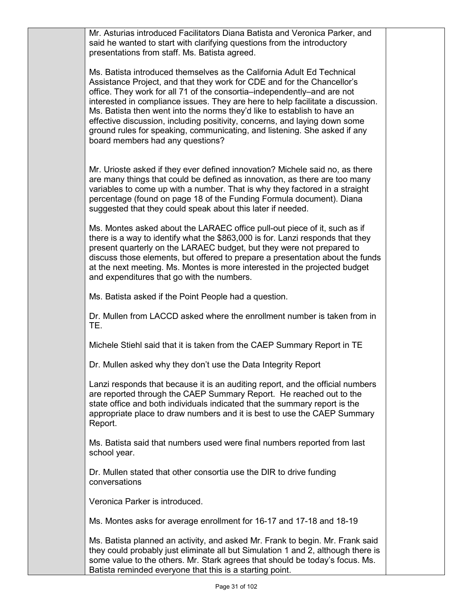Mr. Asturias introduced Facilitators Diana Batista and Veronica Parker, and said he wanted to start with clarifying questions from the introductory presentations from staff. Ms. Batista agreed.

Ms. Batista introduced themselves as the California Adult Ed Technical Assistance Project, and that they work for CDE and for the Chancellor's office. They work for all 71 of the consortia–independently–and are not interested in compliance issues. They are here to help facilitate a discussion. Ms. Batista then went into the norms they'd like to establish to have an effective discussion, including positivity, concerns, and laying down some ground rules for speaking, communicating, and listening. She asked if any board members had any questions?

Mr. Urioste asked if they ever defined innovation? Michele said no, as there are many things that could be defined as innovation, as there are too many variables to come up with a number. That is why they factored in a straight percentage (found on page 18 of the Funding Formula document). Diana suggested that they could speak about this later if needed.

Ms. Montes asked about the LARAEC office pull-out piece of it, such as if there is a way to identify what the \$863,000 is for. Lanzi responds that they present quarterly on the LARAEC budget, but they were not prepared to discuss those elements, but offered to prepare a presentation about the funds at the next meeting. Ms. Montes is more interested in the projected budget and expenditures that go with the numbers.

Ms. Batista asked if the Point People had a question.

Dr. Mullen from LACCD asked where the enrollment number is taken from in TE.

Michele Stiehl said that it is taken from the CAEP Summary Report in TE

Dr. Mullen asked why they don't use the Data Integrity Report

Lanzi responds that because it is an auditing report, and the official numbers are reported through the CAEP Summary Report. He reached out to the state office and both individuals indicated that the summary report is the appropriate place to draw numbers and it is best to use the CAEP Summary Report.

Ms. Batista said that numbers used were final numbers reported from last school year.

Dr. Mullen stated that other consortia use the DIR to drive funding conversations

Veronica Parker is introduced.

Ms. Montes asks for average enrollment for 16-17 and 17-18 and 18-19

Ms. Batista planned an activity, and asked Mr. Frank to begin. Mr. Frank said they could probably just eliminate all but Simulation 1 and 2, although there is some value to the others. Mr. Stark agrees that should be today's focus. Ms. Batista reminded everyone that this is a starting point.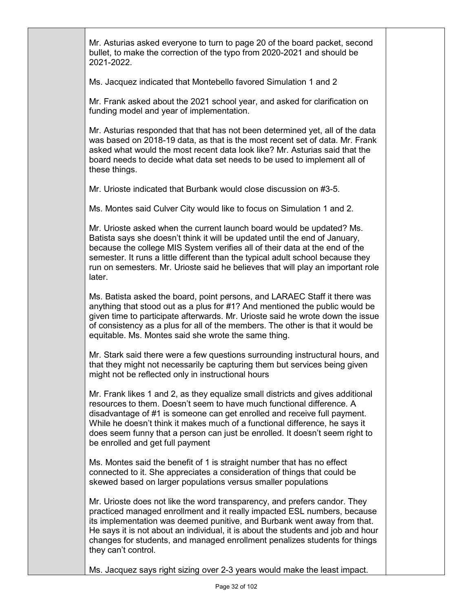Mr. Asturias asked everyone to turn to page 20 of the board packet, second bullet, to make the correction of the typo from 2020-2021 and should be 2021-2022.

Ms. Jacquez indicated that Montebello favored Simulation 1 and 2

Mr. Frank asked about the 2021 school year, and asked for clarification on funding model and year of implementation.

Mr. Asturias responded that that has not been determined yet, all of the data was based on 2018-19 data, as that is the most recent set of data. Mr. Frank asked what would the most recent data look like? Mr. Asturias said that the board needs to decide what data set needs to be used to implement all of these things.

Mr. Urioste indicated that Burbank would close discussion on #3-5.

Ms. Montes said Culver City would like to focus on Simulation 1 and 2.

Mr. Urioste asked when the current launch board would be updated? Ms. Batista says she doesn't think it will be updated until the end of January, because the college MIS System verifies all of their data at the end of the semester. It runs a little different than the typical adult school because they run on semesters. Mr. Urioste said he believes that will play an important role later.

Ms. Batista asked the board, point persons, and LARAEC Staff it there was anything that stood out as a plus for #1? And mentioned the public would be given time to participate afterwards. Mr. Urioste said he wrote down the issue of consistency as a plus for all of the members. The other is that it would be equitable. Ms. Montes said she wrote the same thing.

Mr. Stark said there were a few questions surrounding instructural hours, and that they might not necessarily be capturing them but services being given might not be reflected only in instructional hours

Mr. Frank likes 1 and 2, as they equalize small districts and gives additional resources to them. Doesn't seem to have much functional difference. A disadvantage of #1 is someone can get enrolled and receive full payment. While he doesn't think it makes much of a functional difference, he says it does seem funny that a person can just be enrolled. It doesn't seem right to be enrolled and get full payment

Ms. Montes said the benefit of 1 is straight number that has no effect connected to it. She appreciates a consideration of things that could be skewed based on larger populations versus smaller populations

Mr. Urioste does not like the word transparency, and prefers candor. They practiced managed enrollment and it really impacted ESL numbers, because its implementation was deemed punitive, and Burbank went away from that. He says it is not about an individual, it is about the students and job and hour changes for students, and managed enrollment penalizes students for things they can't control.

Ms. Jacquez says right sizing over 2-3 years would make the least impact.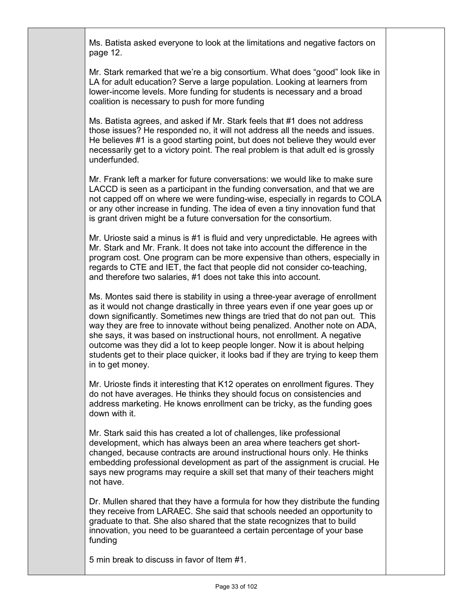Ms. Batista asked everyone to look at the limitations and negative factors on page 12.

Mr. Stark remarked that we're a big consortium. What does "good" look like in LA for adult education? Serve a large population. Looking at learners from lower-income levels. More funding for students is necessary and a broad coalition is necessary to push for more funding

Ms. Batista agrees, and asked if Mr. Stark feels that #1 does not address those issues? He responded no, it will not address all the needs and issues. He believes #1 is a good starting point, but does not believe they would ever necessarily get to a victory point. The real problem is that adult ed is grossly underfunded.

Mr. Frank left a marker for future conversations: we would like to make sure LACCD is seen as a participant in the funding conversation, and that we are not capped off on where we were funding-wise, especially in regards to COLA or any other increase in funding. The idea of even a tiny innovation fund that is grant driven might be a future conversation for the consortium.

Mr. Urioste said a minus is #1 is fluid and very unpredictable. He agrees with Mr. Stark and Mr. Frank. It does not take into account the difference in the program cost. One program can be more expensive than others, especially in regards to CTE and IET, the fact that people did not consider co-teaching, and therefore two salaries, #1 does not take this into account.

Ms. Montes said there is stability in using a three-year average of enrollment as it would not change drastically in three years even if one year goes up or down significantly. Sometimes new things are tried that do not pan out. This way they are free to innovate without being penalized. Another note on ADA, she says, it was based on instructional hours, not enrollment. A negative outcome was they did a lot to keep people longer. Now it is about helping students get to their place quicker, it looks bad if they are trying to keep them in to get money.

Mr. Urioste finds it interesting that K12 operates on enrollment figures. They do not have averages. He thinks they should focus on consistencies and address marketing. He knows enrollment can be tricky, as the funding goes down with it.

Mr. Stark said this has created a lot of challenges, like professional development, which has always been an area where teachers get shortchanged, because contracts are around instructional hours only. He thinks embedding professional development as part of the assignment is crucial. He says new programs may require a skill set that many of their teachers might not have.

Dr. Mullen shared that they have a formula for how they distribute the funding they receive from LARAEC. She said that schools needed an opportunity to graduate to that. She also shared that the state recognizes that to build innovation, you need to be guaranteed a certain percentage of your base funding

5 min break to discuss in favor of Item #1.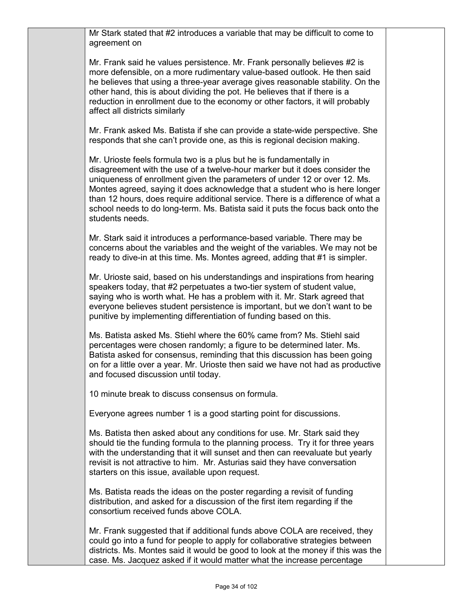Mr Stark stated that #2 introduces a variable that may be difficult to come to agreement on

Mr. Frank said he values persistence. Mr. Frank personally believes #2 is more defensible, on a more rudimentary value-based outlook. He then said he believes that using a three-year average gives reasonable stability. On the other hand, this is about dividing the pot. He believes that if there is a reduction in enrollment due to the economy or other factors, it will probably affect all districts similarly

Mr. Frank asked Ms. Batista if she can provide a state-wide perspective. She responds that she can't provide one, as this is regional decision making.

Mr. Urioste feels formula two is a plus but he is fundamentally in disagreement with the use of a twelve-hour marker but it does consider the uniqueness of enrollment given the parameters of under 12 or over 12. Ms. Montes agreed, saying it does acknowledge that a student who is here longer than 12 hours, does require additional service. There is a difference of what a school needs to do long-term. Ms. Batista said it puts the focus back onto the students needs.

Mr. Stark said it introduces a performance-based variable. There may be concerns about the variables and the weight of the variables. We may not be ready to dive-in at this time. Ms. Montes agreed, adding that #1 is simpler.

Mr. Urioste said, based on his understandings and inspirations from hearing speakers today, that #2 perpetuates a two-tier system of student value, saying who is worth what. He has a problem with it. Mr. Stark agreed that everyone believes student persistence is important, but we don't want to be punitive by implementing differentiation of funding based on this.

Ms. Batista asked Ms. Stiehl where the 60% came from? Ms. Stiehl said percentages were chosen randomly; a figure to be determined later. Ms. Batista asked for consensus, reminding that this discussion has been going on for a little over a year. Mr. Urioste then said we have not had as productive and focused discussion until today.

10 minute break to discuss consensus on formula.

Everyone agrees number 1 is a good starting point for discussions.

Ms. Batista then asked about any conditions for use. Mr. Stark said they should tie the funding formula to the planning process. Try it for three years with the understanding that it will sunset and then can reevaluate but yearly revisit is not attractive to him. Mr. Asturias said they have conversation starters on this issue, available upon request.

Ms. Batista reads the ideas on the poster regarding a revisit of funding distribution, and asked for a discussion of the first item regarding if the consortium received funds above COLA.

Mr. Frank suggested that if additional funds above COLA are received, they could go into a fund for people to apply for collaborative strategies between districts. Ms. Montes said it would be good to look at the money if this was the case. Ms. Jacquez asked if it would matter what the increase percentage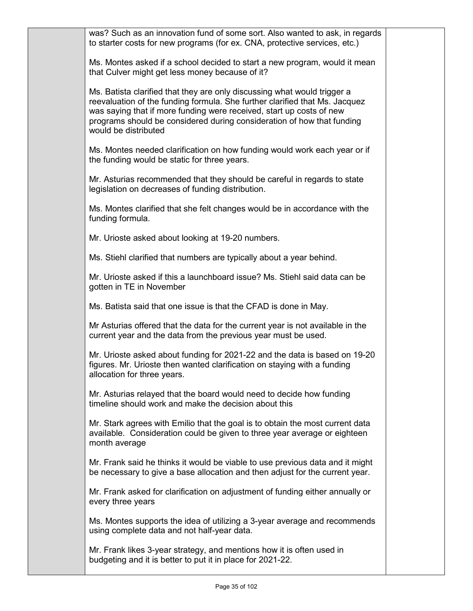| was? Such as an innovation fund of some sort. Also wanted to ask, in regards<br>to starter costs for new programs (for ex. CNA, protective services, etc.)                                                                                                                                                                        |  |
|-----------------------------------------------------------------------------------------------------------------------------------------------------------------------------------------------------------------------------------------------------------------------------------------------------------------------------------|--|
| Ms. Montes asked if a school decided to start a new program, would it mean<br>that Culver might get less money because of it?                                                                                                                                                                                                     |  |
| Ms. Batista clarified that they are only discussing what would trigger a<br>reevaluation of the funding formula. She further clarified that Ms. Jacquez<br>was saying that if more funding were received, start up costs of new<br>programs should be considered during consideration of how that funding<br>would be distributed |  |
| Ms. Montes needed clarification on how funding would work each year or if<br>the funding would be static for three years.                                                                                                                                                                                                         |  |
| Mr. Asturias recommended that they should be careful in regards to state<br>legislation on decreases of funding distribution.                                                                                                                                                                                                     |  |
| Ms. Montes clarified that she felt changes would be in accordance with the<br>funding formula.                                                                                                                                                                                                                                    |  |
| Mr. Urioste asked about looking at 19-20 numbers.                                                                                                                                                                                                                                                                                 |  |
| Ms. Stiehl clarified that numbers are typically about a year behind.                                                                                                                                                                                                                                                              |  |
| Mr. Urioste asked if this a launchboard issue? Ms. Stiehl said data can be<br>gotten in TE in November                                                                                                                                                                                                                            |  |
| Ms. Batista said that one issue is that the CFAD is done in May.                                                                                                                                                                                                                                                                  |  |
| Mr Asturias offered that the data for the current year is not available in the<br>current year and the data from the previous year must be used.                                                                                                                                                                                  |  |
| Mr. Urioste asked about funding for 2021-22 and the data is based on 19-20<br>figures. Mr. Urioste then wanted clarification on staying with a funding<br>allocation for three years.                                                                                                                                             |  |
| Mr. Asturias relayed that the board would need to decide how funding<br>timeline should work and make the decision about this                                                                                                                                                                                                     |  |
| Mr. Stark agrees with Emilio that the goal is to obtain the most current data<br>available. Consideration could be given to three year average or eighteen<br>month average                                                                                                                                                       |  |
| Mr. Frank said he thinks it would be viable to use previous data and it might<br>be necessary to give a base allocation and then adjust for the current year.                                                                                                                                                                     |  |
| Mr. Frank asked for clarification on adjustment of funding either annually or<br>every three years                                                                                                                                                                                                                                |  |
| Ms. Montes supports the idea of utilizing a 3-year average and recommends<br>using complete data and not half-year data.                                                                                                                                                                                                          |  |
| Mr. Frank likes 3-year strategy, and mentions how it is often used in<br>budgeting and it is better to put it in place for 2021-22.                                                                                                                                                                                               |  |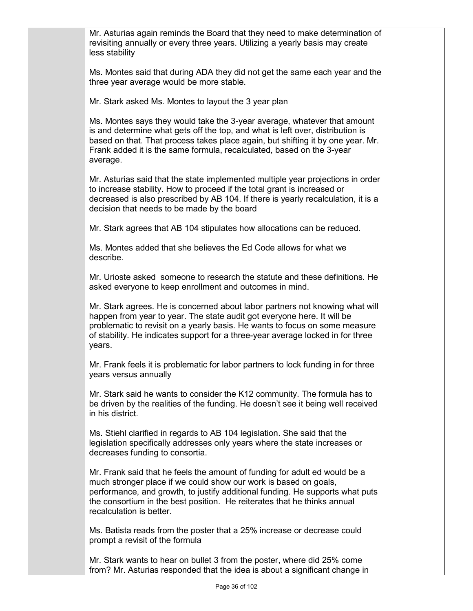Mr. Asturias again reminds the Board that they need to make determination of revisiting annually or every three years. Utilizing a yearly basis may create less stability Ms. Montes said that during ADA they did not get the same each year and the three year average would be more stable. Mr. Stark asked Ms. Montes to layout the 3 year plan Ms. Montes says they would take the 3-year average, whatever that amount is and determine what gets off the top, and what is left over, distribution is based on that. That process takes place again, but shifting it by one year. Mr. Frank added it is the same formula, recalculated, based on the 3-year average. Mr. Asturias said that the state implemented multiple year projections in order to increase stability. How to proceed if the total grant is increased or decreased is also prescribed by AB 104. If there is yearly recalculation, it is a decision that needs to be made by the board Mr. Stark agrees that AB 104 stipulates how allocations can be reduced. Ms. Montes added that she believes the Ed Code allows for what we describe. Mr. Urioste asked someone to research the statute and these definitions. He asked everyone to keep enrollment and outcomes in mind. Mr. Stark agrees. He is concerned about labor partners not knowing what will happen from year to year. The state audit got everyone here. It will be problematic to revisit on a yearly basis. He wants to focus on some measure of stability. He indicates support for a three-year average locked in for three years. Mr. Frank feels it is problematic for labor partners to lock funding in for three years versus annually Mr. Stark said he wants to consider the K12 community. The formula has to be driven by the realities of the funding. He doesn't see it being well received in his district. Ms. Stiehl clarified in regards to AB 104 legislation. She said that the legislation specifically addresses only years where the state increases or decreases funding to consortia. Mr. Frank said that he feels the amount of funding for adult ed would be a much stronger place if we could show our work is based on goals, performance, and growth, to justify additional funding. He supports what puts the consortium in the best position. He reiterates that he thinks annual recalculation is better. Ms. Batista reads from the poster that a 25% increase or decrease could prompt a revisit of the formula Mr. Stark wants to hear on bullet 3 from the poster, where did 25% come from? Mr. Asturias responded that the idea is about a significant change in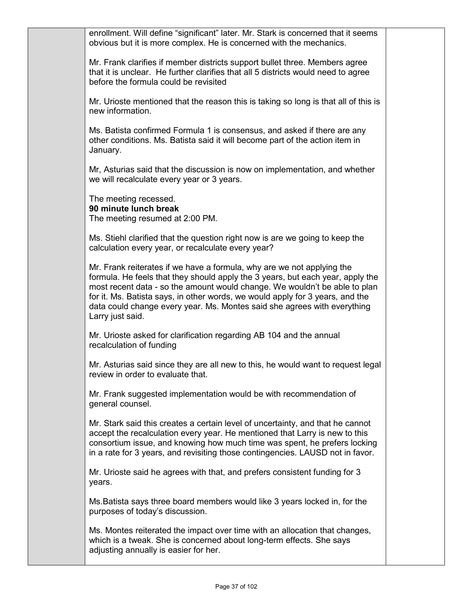enrollment. Will define "significant" later. Mr. Stark is concerned that it seems obvious but it is more complex. He is concerned with the mechanics. Mr. Frank clarifies if member districts support bullet three. Members agree that it is unclear. He further clarifies that all 5 districts would need to agree before the formula could be revisited Mr. Urioste mentioned that the reason this is taking so long is that all of this is new information. Ms. Batista confirmed Formula 1 is consensus, and asked if there are any other conditions. Ms. Batista said it will become part of the action item in January. Mr, Asturias said that the discussion is now on implementation, and whether we will recalculate every year or 3 years. The meeting recessed. **90 minute lunch break** The meeting resumed at 2:00 PM. Ms. Stiehl clarified that the question right now is are we going to keep the calculation every year, or recalculate every year? Mr. Frank reiterates if we have a formula, why are we not applying the formula. He feels that they should apply the 3 years, but each year, apply the most recent data - so the amount would change. We wouldn't be able to plan for it. Ms. Batista says, in other words, we would apply for 3 years, and the data could change every year. Ms. Montes said she agrees with everything Larry just said. Mr. Urioste asked for clarification regarding AB 104 and the annual recalculation of funding Mr. Asturias said since they are all new to this, he would want to request legal review in order to evaluate that. Mr. Frank suggested implementation would be with recommendation of general counsel. Mr. Stark said this creates a certain level of uncertainty, and that he cannot accept the recalculation every year. He mentioned that Larry is new to this consortium issue, and knowing how much time was spent, he prefers locking in a rate for 3 years, and revisiting those contingencies. LAUSD not in favor. Mr. Urioste said he agrees with that, and prefers consistent funding for 3 years. Ms.Batista says three board members would like 3 years locked in, for the purposes of today's discussion. Ms. Montes reiterated the impact over time with an allocation that changes, which is a tweak. She is concerned about long-term effects. She says adjusting annually is easier for her.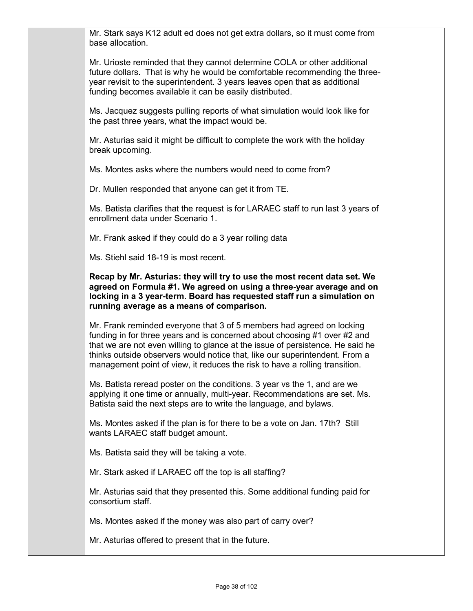Mr. Stark says K12 adult ed does not get extra dollars, so it must come from base allocation.

Mr. Urioste reminded that they cannot determine COLA or other additional future dollars. That is why he would be comfortable recommending the threeyear revisit to the superintendent. 3 years leaves open that as additional funding becomes available it can be easily distributed.

Ms. Jacquez suggests pulling reports of what simulation would look like for the past three years, what the impact would be.

Mr. Asturias said it might be difficult to complete the work with the holiday break upcoming.

Ms. Montes asks where the numbers would need to come from?

Dr. Mullen responded that anyone can get it from TE.

Ms. Batista clarifies that the request is for LARAEC staff to run last 3 years of enrollment data under Scenario 1.

Mr. Frank asked if they could do a 3 year rolling data

Ms. Stiehl said 18-19 is most recent.

## **Recap by Mr. Asturias: they will try to use the most recent data set. We agreed on Formula #1. We agreed on using a three-year average and on locking in a 3 year-term. Board has requested staff run a simulation on running average as a means of comparison.**

Mr. Frank reminded everyone that 3 of 5 members had agreed on locking funding in for three years and is concerned about choosing #1 over #2 and that we are not even willing to glance at the issue of persistence. He said he thinks outside observers would notice that, like our superintendent. From a management point of view, it reduces the risk to have a rolling transition.

Ms. Batista reread poster on the conditions. 3 year vs the 1, and are we applying it one time or annually, multi-year. Recommendations are set. Ms. Batista said the next steps are to write the language, and bylaws.

Ms. Montes asked if the plan is for there to be a vote on Jan. 17th? Still wants LARAEC staff budget amount.

Ms. Batista said they will be taking a vote.

Mr. Stark asked if LARAEC off the top is all staffing?

Mr. Asturias said that they presented this. Some additional funding paid for consortium staff.

Ms. Montes asked if the money was also part of carry over?

Mr. Asturias offered to present that in the future.